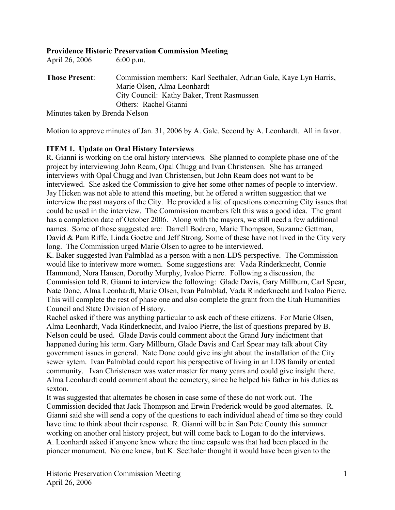## **Providence Historic Preservation Commission Meeting**

April 26, 2006 6:00 p.m.

**Those Present**: Commission members: Karl Seethaler, Adrian Gale, Kaye Lyn Harris, Marie Olsen, Alma Leonhardt City Council: Kathy Baker, Trent Rasmussen Others: Rachel Gianni Minutes taken by Brenda Nelson

Motion to approve minutes of Jan. 31, 2006 by A. Gale. Second by A. Leonhardt. All in favor.

## **ITEM 1. Update on Oral History Interviews**

R. Gianni is working on the oral history interviews. She planned to complete phase one of the project by interviewing John Ream, Opal Chugg and Ivan Christensen. She has arranged interviews with Opal Chugg and Ivan Christensen, but John Ream does not want to be interviewed. She asked the Commission to give her some other names of people to interview. Jay Hicken was not able to attend this meeting, but he offered a written suggestion that we interview the past mayors of the City. He provided a list of questions concerning City issues that could be used in the interview. The Commission members felt this was a good idea. The grant has a completion date of October 2006. Along with the mayors, we still need a few additional names. Some of those suggested are: Darrell Bodrero, Marie Thompson, Suzanne Gettman, David & Pam Riffe, Linda Goetze and Jeff Strong. Some of these have not lived in the City very long. The Commission urged Marie Olsen to agree to be interviewed.

K. Baker suggested Ivan Palmblad as a person with a non-LDS perspective. The Commission would like to interivew more women. Some suggestions are: Vada Rinderknecht, Connie Hammond, Nora Hansen, Dorothy Murphy, Ivaloo Pierre. Following a discussion, the Commission told R. Gianni to interview the following: Glade Davis, Gary Millburn, Carl Spear, Nate Done, Alma Leonhardt, Marie Olsen, Ivan Palmblad, Vada Rinderknecht and Ivaloo Pierre. This will complete the rest of phase one and also complete the grant from the Utah Humanities Council and State Division of History.

Rachel asked if there was anything particular to ask each of these citizens. For Marie Olsen, Alma Leonhardt, Vada Rinderknecht, and Ivaloo Pierre, the list of questions prepared by B. Nelson could be used. Glade Davis could comment about the Grand Jury indictment that happened during his term. Gary Millburn, Glade Davis and Carl Spear may talk about City government issues in general. Nate Done could give insight about the installation of the City sewer sytem. Ivan Palmblad could report his perspective of living in an LDS family oriented community. Ivan Christensen was water master for many years and could give insight there. Alma Leonhardt could comment about the cemetery, since he helped his father in his duties as sexton.

It was suggested that alternates be chosen in case some of these do not work out. The Commission decided that Jack Thompson and Erwin Frederick would be good alternates. R. Gianni said she will send a copy of the questions to each individual ahead of time so they could have time to think about their response. R. Gianni will be in San Pete County this summer working on another oral history project, but will come back to Logan to do the interviews. A. Leonhardt asked if anyone knew where the time capsule was that had been placed in the pioneer monument. No one knew, but K. Seethaler thought it would have been given to the